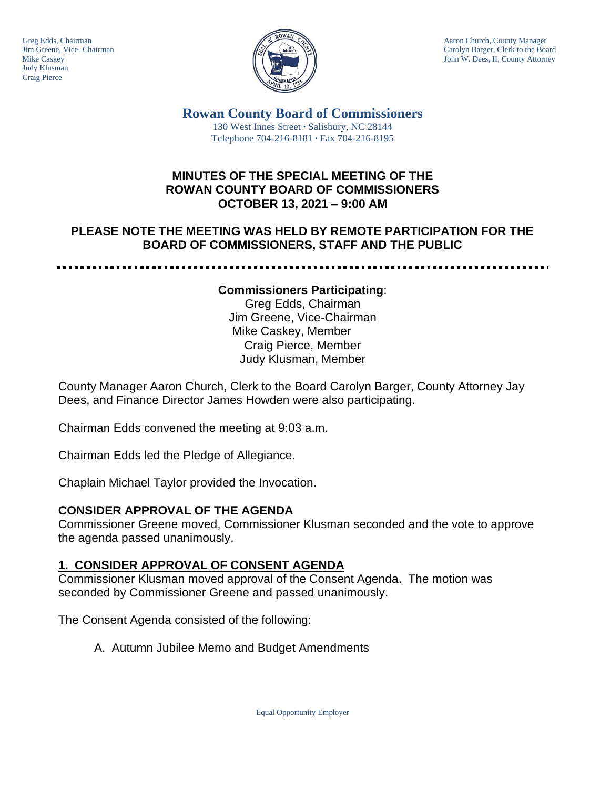

Greg Edds, Chairman Aaron Church, County Manager (Service Chairman Aaron Church, County Manager (Service Chairman Aaron Church, County Manager (Service Chairman Aaron Church, County Manager (Service Chairman Annual Carolyn Jim Greene, Vice- Chairman Carolyn Barger, Clerk to the Board Carolyn Barger, Clerk to the Board Carolyn Barger, Clerk to the Board Carolyn Barger, Clerk to the Board John W. Dees, II, County Attorney John W. Dees, II, County Attorney

> **Rowan County Board of Commissioners** 130 West Innes Street **∙** Salisbury, NC 28144 Telephone 704-216-8181 **∙** Fax 704-216-8195

## **MINUTES OF THE SPECIAL MEETING OF THE ROWAN COUNTY BOARD OF COMMISSIONERS OCTOBER 13, 2021 – 9:00 AM**

## **PLEASE NOTE THE MEETING WAS HELD BY REMOTE PARTICIPATION FOR THE BOARD OF COMMISSIONERS, STAFF AND THE PUBLIC**

-------------. . . . . . . . . . . . . . . . .

#### **Commissioners Participating**:

Greg Edds, Chairman Jim Greene, Vice-Chairman Mike Caskey, Member Craig Pierce, Member Judy Klusman, Member

County Manager Aaron Church, Clerk to the Board Carolyn Barger, County Attorney Jay Dees, and Finance Director James Howden were also participating.

Chairman Edds convened the meeting at 9:03 a.m.

Chairman Edds led the Pledge of Allegiance.

Chaplain Michael Taylor provided the Invocation.

### **CONSIDER APPROVAL OF THE AGENDA**

Commissioner Greene moved, Commissioner Klusman seconded and the vote to approve the agenda passed unanimously.

### **1. CONSIDER APPROVAL OF CONSENT AGENDA**

Commissioner Klusman moved approval of the Consent Agenda. The motion was seconded by Commissioner Greene and passed unanimously.

The Consent Agenda consisted of the following:

A. Autumn Jubilee Memo and Budget Amendments